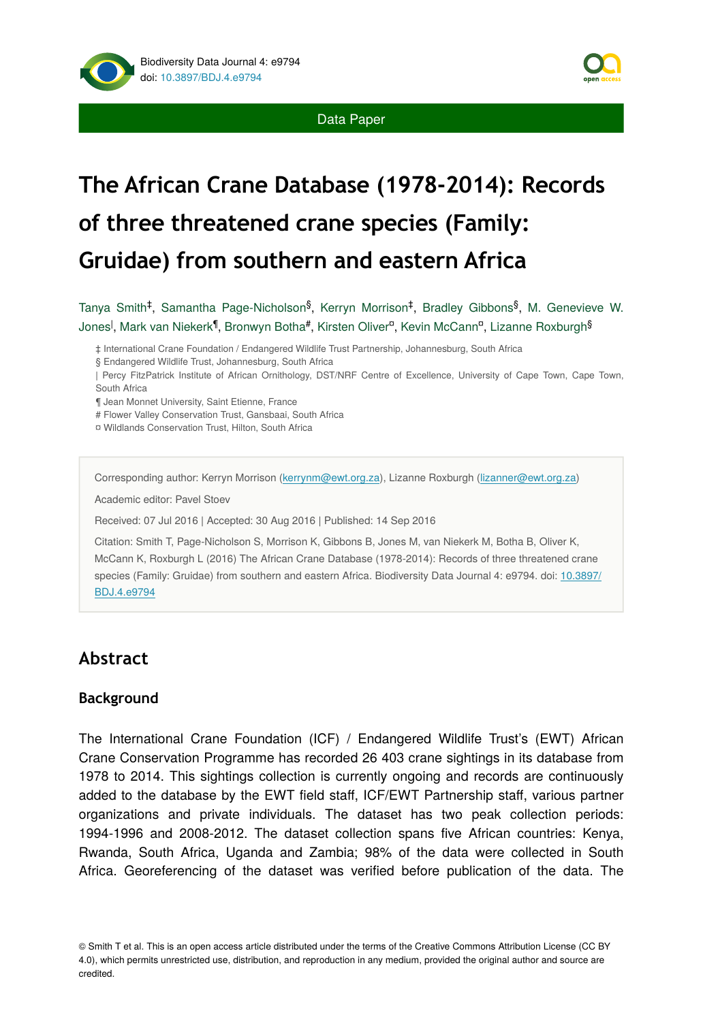



# **The African Crane Database (1978-2014): Records of three threatened crane species (Family: Gruidae) from southern and eastern Africa**

Tanya Smith<sup>‡</sup>, Samantha Page-Nicholson<sup>§</sup>, Kerryn Morrison<sup>‡</sup>, Bradley Gibbons<sup>§</sup>, M. Genevieve W. Jones<sup>l</sup>, Mark van Niekerk<sup>¶</sup>, Bronwyn Botha#, Kirsten Oliver<sup>a</sup>, Kevin McCann<sup>a</sup>, Lizanne Roxburgh<sup>§</sup>

‡ International Crane Foundation / Endangered Wildlife Trust Partnership, Johannesburg, South Africa

| Percy FitzPatrick Institute of African Ornithology, DST/NRF Centre of Excellence, University of Cape Town, Cape Town, South Africa

¶ Jean Monnet University, Saint Etienne, France

# Flower Valley Conservation Trust, Gansbaai, South Africa

¤ Wildlands Conservation Trust, Hilton, South Africa

Corresponding author: Kerryn Morrison [\(kerrynm@ewt.org.za\)](mailto:kerrynm@ewt.org.za?subject=Your%20manuscript%20in%20PWT%20#4773/Biodiversity%20Data%20Journal%20#9794), Lizanne Roxburgh ([lizanner@ewt.org.za\)](mailto:lizanner@ewt.org.za?subject=Your%20manuscript%20in%20PWT%20#4773/Biodiversity%20Data%20Journal%20#9794)

Academic editor: Pavel Stoev

Received: 07 Jul 2016 | Accepted: 30 Aug 2016 | Published: 14 Sep 2016

Citation: Smith T, Page-Nicholson S, Morrison K, Gibbons B, Jones M, van Niekerk M, Botha B, Oliver K, McCann K, Roxburgh L (2016) The African Crane Database (1978-2014): Records of three threatened crane species (Family: Gruidae) from southern and eastern Africa. Biodiversity Data Journal 4: e9794. doi: [10.3897/](http://dx.doi.org/10.3897/BDJ.4.e9794) [BDJ.4.e9794](http://dx.doi.org/10.3897/BDJ.4.e9794)

## **Abstract**

#### **Background**

The International Crane Foundation (ICF) / Endangered Wildlife Trust's (EWT) African Crane Conservation Programme has recorded 26 403 crane sightings in its database from 1978 to 2014. This sightings collection is currently ongoing and records are continuously added to the database by the EWT field staff, ICF/EWT Partnership staff, various partner organizations and private individuals. The dataset has two peak collection periods: 1994-1996 and 2008-2012. The dataset collection spans five African countries: Kenya, Rwanda, South Africa, Uganda and Zambia; 98% of the data were collected in South Africa. Georeferencing of the dataset was verified before publication of the data. The

<sup>§</sup> Endangered Wildlife Trust, Johannesburg, South Africa

<sup>©</sup> Smith T et al. This is an open access article distributed under the terms of the Creative Commons Attribution License (CC BY 4.0), which permits unrestricted use, distribution, and reproduction in any medium, provided the original author and source are credited.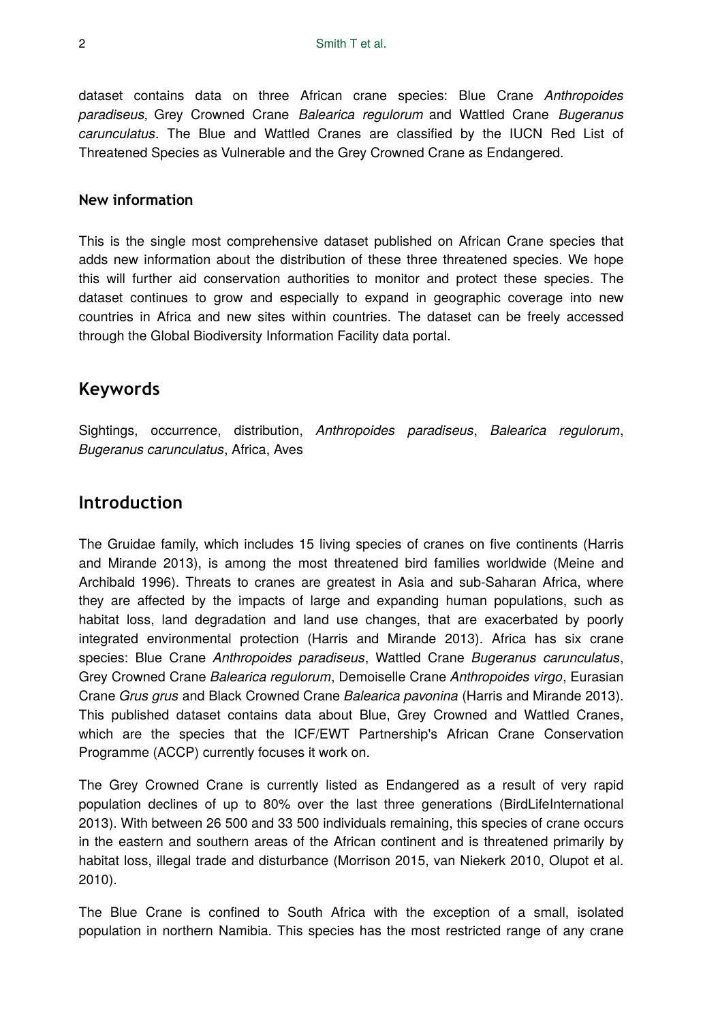dataset contains data on three African crane species: Blue Crane *Anthropoides paradiseus,* Grey Crowned Crane *Balearica regulorum* and Wattled Crane *Bugeranus carunculatus*. The Blue and Wattled Cranes are classified by the IUCN Red List of Threatened Species as Vulnerable and the Grey Crowned Crane as Endangered.

#### **New information**

This is the single most comprehensive dataset published on African Crane species that adds new information about the distribution of these three threatened species. We hope this will further aid conservation authorities to monitor and protect these species. The dataset continues to grow and especially to expand in geographic coverage into new countries in Africa and new sites within countries. The dataset can be freely accessed through the Global Biodiversity Information Facility data portal.

### **Keywords**

Sightings, occurrence, distribution, *Anthropoides paradiseus*, *Balearica regulorum*, *Bugeranus carunculatus*, Africa, Aves

## **Introduction**

The Gruidae family, which includes 15 living species of cranes on five continents (Harris and Mirande 2013), is among the most threatened bird families worldwide (Meine and Archibald 1996). Threats to cranes are greatest in Asia and sub-Saharan Africa, where they are affected by the impacts of large and expanding human populations, such as habitat loss, land degradation and land use changes, that are exacerbated by poorly integrated environmental protection (Harris and Mirande 2013). Africa has six crane species: Blue Crane *Anthropoides paradiseus*, Wattled Crane *Bugeranus carunculatus*, Grey Crowned Crane *Balearica regulorum*, Demoiselle Crane *Anthropoides virgo*, Eurasian Crane *Grus grus* and Black Crowned Crane *Balearica pavonina* (Harris and Mirande 2013). This published dataset contains data about Blue, Grey Crowned and Wattled Cranes, which are the species that the ICF/EWT Partnership's African Crane Conservation Programme (ACCP) currently focuses it work on.

The Grey Crowned Crane is currently listed as Endangered as a result of very rapid population declines of up to 80% over the last three generations (BirdLifeInternational 2013). With between 26 500 and 33 500 individuals remaining, this species of crane occurs in the eastern and southern areas of the African continent and is threatened primarily by habitat loss, illegal trade and disturbance (Morrison 2015, van Niekerk 2010, Olupot et al. 2010).

The Blue Crane is confined to South Africa with the exception of a small, isolated population in northern Namibia. This species has the most restricted range of any crane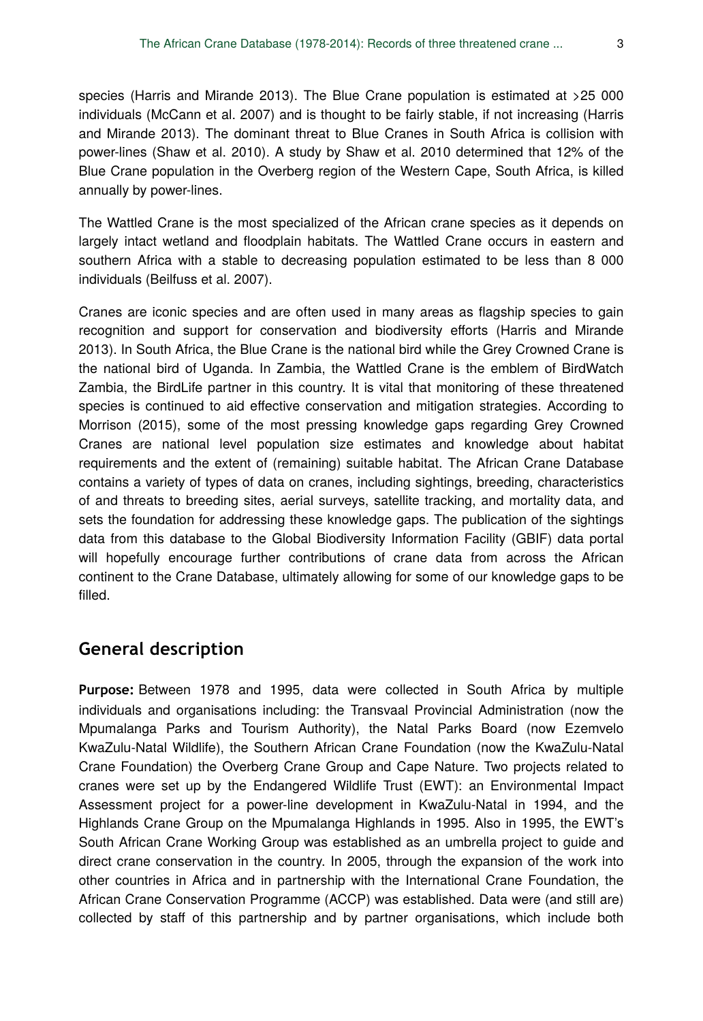species (Harris and Mirande 2013). The Blue Crane population is estimated at >25 000 individuals (McCann et al. 2007) and is thought to be fairly stable, if not increasing (Harris and Mirande 2013). The dominant threat to Blue Cranes in South Africa is collision with power-lines (Shaw et al. 2010). A study by Shaw et al. 2010 determined that 12% of the Blue Crane population in the Overberg region of the Western Cape, South Africa, is killed annually by power-lines.

The Wattled Crane is the most specialized of the African crane species as it depends on largely intact wetland and floodplain habitats. The Wattled Crane occurs in eastern and southern Africa with a stable to decreasing population estimated to be less than 8 000 individuals (Beilfuss et al. 2007).

Cranes are iconic species and are often used in many areas as flagship species to gain recognition and support for conservation and biodiversity efforts (Harris and Mirande 2013). In South Africa, the Blue Crane is the national bird while the Grey Crowned Crane is the national bird of Uganda. In Zambia, the Wattled Crane is the emblem of BirdWatch Zambia, the BirdLife partner in this country. It is vital that monitoring of these threatened species is continued to aid effective conservation and mitigation strategies. According to Morrison (2015), some of the most pressing knowledge gaps regarding Grey Crowned Cranes are national level population size estimates and knowledge about habitat requirements and the extent of (remaining) suitable habitat. The African Crane Database contains a variety of types of data on cranes, including sightings, breeding, characteristics of and threats to breeding sites, aerial surveys, satellite tracking, and mortality data, and sets the foundation for addressing these knowledge gaps. The publication of the sightings data from this database to the Global Biodiversity Information Facility (GBIF) data portal will hopefully encourage further contributions of crane data from across the African continent to the Crane Database, ultimately allowing for some of our knowledge gaps to be filled.

#### **General description**

**Purpose:** Between 1978 and 1995, data were collected in South Africa by multiple individuals and organisations including: the Transvaal Provincial Administration (now the Mpumalanga Parks and Tourism Authority), the Natal Parks Board (now Ezemvelo KwaZulu-Natal Wildlife), the Southern African Crane Foundation (now the KwaZulu-Natal Crane Foundation) the Overberg Crane Group and Cape Nature. Two projects related to cranes were set up by the Endangered Wildlife Trust (EWT): an Environmental Impact Assessment project for a power-line development in KwaZulu-Natal in 1994, and the Highlands Crane Group on the Mpumalanga Highlands in 1995. Also in 1995, the EWT's South African Crane Working Group was established as an umbrella project to guide and direct crane conservation in the country. In 2005, through the expansion of the work into other countries in Africa and in partnership with the International Crane Foundation, the African Crane Conservation Programme (ACCP) was established. Data were (and still are) collected by staff of this partnership and by partner organisations, which include both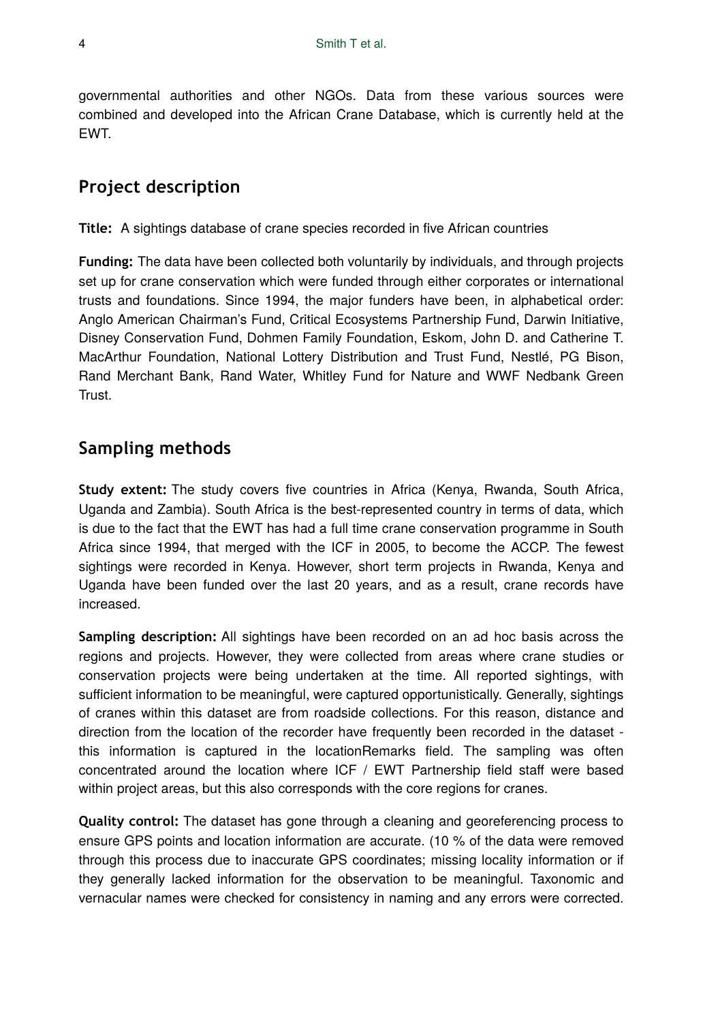governmental authorities and other NGOs. Data from these various sources were combined and developed into the African Crane Database, which is currently held at the EWT.

# **Project description**

**Title:** A sightings database of crane species recorded in five African countries

**Funding:** The data have been collected both voluntarily by individuals, and through projects set up for crane conservation which were funded through either corporates or international trusts and foundations. Since 1994, the major funders have been, in alphabetical order: Anglo American Chairman's Fund, Critical Ecosystems Partnership Fund, Darwin Initiative, Disney Conservation Fund, Dohmen Family Foundation, Eskom, John D. and Catherine T. MacArthur Foundation, National Lottery Distribution and Trust Fund, Nestlé, PG Bison, Rand Merchant Bank, Rand Water, Whitley Fund for Nature and WWF Nedbank Green Trust.

# **Sampling methods**

**Study extent:** The study covers five countries in Africa (Kenya, Rwanda, South Africa, Uganda and Zambia). South Africa is the best-represented country in terms of data, which is due to the fact that the EWT has had a full time crane conservation programme in South Africa since 1994, that merged with the ICF in 2005, to become the ACCP. The fewest sightings were recorded in Kenya. However, short term projects in Rwanda, Kenya and Uganda have been funded over the last 20 years, and as a result, crane records have increased.

**Sampling description:** All sightings have been recorded on an ad hoc basis across the regions and projects. However, they were collected from areas where crane studies or conservation projects were being undertaken at the time. All reported sightings, with sufficient information to be meaningful, were captured opportunistically. Generally, sightings of cranes within this dataset are from roadside collections. For this reason, distance and direction from the location of the recorder have frequently been recorded in the dataset this information is captured in the locationRemarks field. The sampling was often concentrated around the location where ICF / EWT Partnership field staff were based within project areas, but this also corresponds with the core regions for cranes.

**Quality control:** The dataset has gone through a cleaning and georeferencing process to ensure GPS points and location information are accurate. (10 % of the data were removed through this process due to inaccurate GPS coordinates; missing locality information or if they generally lacked information for the observation to be meaningful. Taxonomic and vernacular names were checked for consistency in naming and any errors were corrected.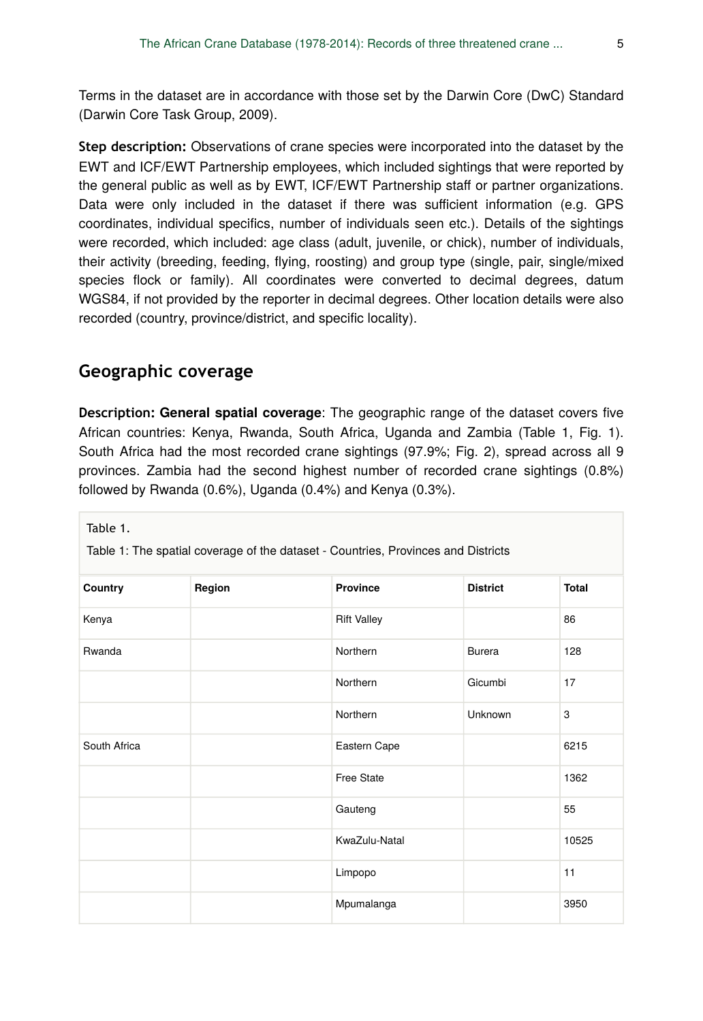Terms in the dataset are in accordance with those set by the Darwin Core (DwC) Standard (Darwin Core Task Group, 2009).

**Step description:** Observations of crane species were incorporated into the dataset by the EWT and ICF/EWT Partnership employees, which included sightings that were reported by the general public as well as by EWT, ICF/EWT Partnership staff or partner organizations. Data were only included in the dataset if there was sufficient information (e.g. GPS coordinates, individual specifics, number of individuals seen etc.). Details of the sightings were recorded, which included: age class (adult, juvenile, or chick), number of individuals, their activity (breeding, feeding, flying, roosting) and group type (single, pair, single/mixed species flock or family). All coordinates were converted to decimal degrees, datum WGS84, if not provided by the reporter in decimal degrees. Other location details were also recorded (country, province/district, and specific locality).

### **Geographic coverage**

**Description: General spatial coverage**: The geographic range of the dataset covers five African countries: Kenya, Rwanda, South Africa, Uganda and Zambia (Table 1, Fig. 1). South Africa had the most recorded crane sightings (97.9%; Fig. 2), spread across all 9 provinces. Zambia had the second highest number of recorded crane sightings (0.8%) followed by Rwanda (0.6%), Uganda (0.4%) and Kenya (0.3%).

| Table 1.<br>Table 1: The spatial coverage of the dataset - Countries, Provinces and Districts |        |                    |                 |              |
|-----------------------------------------------------------------------------------------------|--------|--------------------|-----------------|--------------|
| Country                                                                                       | Region | <b>Province</b>    | <b>District</b> | <b>Total</b> |
| Kenya                                                                                         |        | <b>Rift Valley</b> |                 | 86           |
| Rwanda                                                                                        |        | Northern           | <b>Burera</b>   | 128          |
|                                                                                               |        | Northern           | Gicumbi         | 17           |
|                                                                                               |        | Northern           | Unknown         | 3            |
| South Africa                                                                                  |        | Eastern Cape       |                 | 6215         |
|                                                                                               |        | <b>Free State</b>  |                 | 1362         |
|                                                                                               |        | Gauteng            |                 | 55           |
|                                                                                               |        | KwaZulu-Natal      |                 | 10525        |
|                                                                                               |        | Limpopo            |                 | 11           |
|                                                                                               |        | Mpumalanga         |                 | 3950         |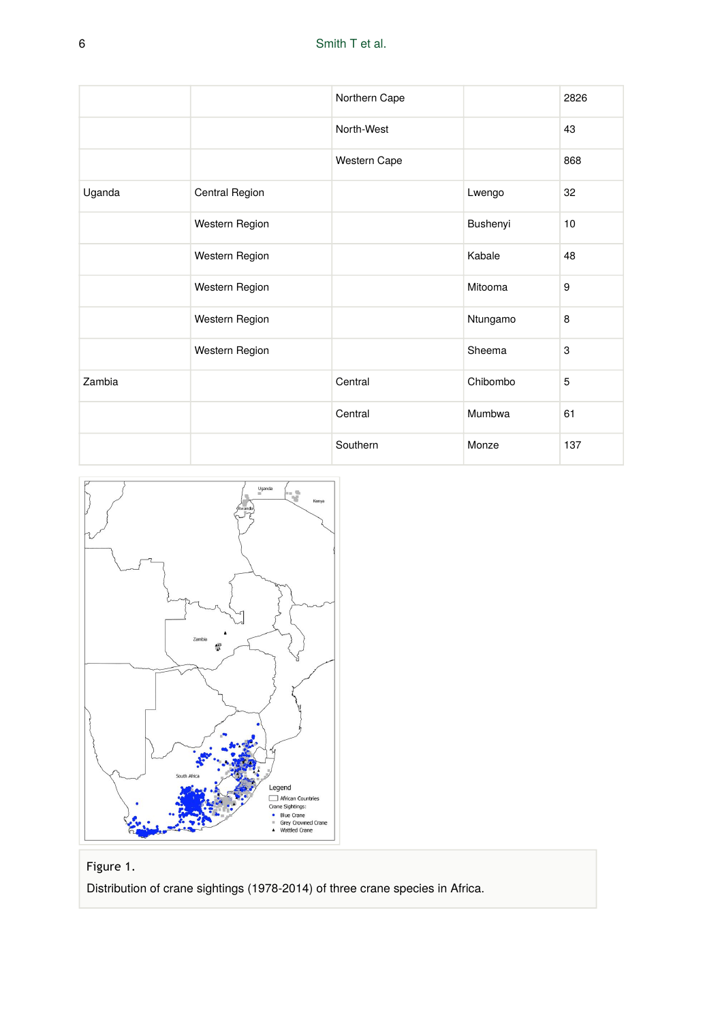|        |                | Northern Cape |          | 2826 |
|--------|----------------|---------------|----------|------|
|        |                | North-West    |          | 43   |
|        |                | Western Cape  |          | 868  |
| Uganda | Central Region |               | Lwengo   | 32   |
|        | Western Region |               | Bushenyi | 10   |
|        | Western Region |               | Kabale   | 48   |
|        | Western Region |               | Mitooma  | 9    |
|        | Western Region |               | Ntungamo | 8    |
|        | Western Region |               | Sheema   | 3    |
| Zambia |                | Central       | Chibombo | 5    |
|        |                | Central       | Mumbwa   | 61   |
|        |                | Southern      | Monze    | 137  |



#### Figure 1.

Distribution of crane sightings (1978-2014) of three crane species in Africa.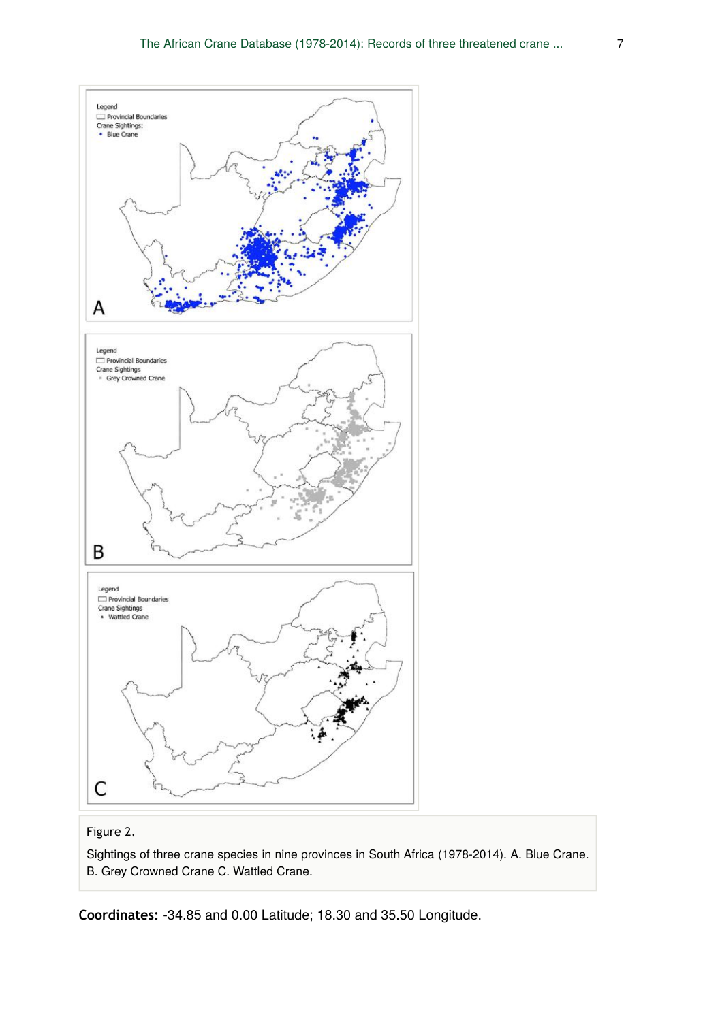

#### Figure 2.

Sightings of three crane species in nine provinces in South Africa (1978-2014). A. Blue Crane. B. Grey Crowned Crane C. Wattled Crane.

**Coordinates:** -34.85 and 0.00 Latitude; 18.30 and 35.50 Longitude.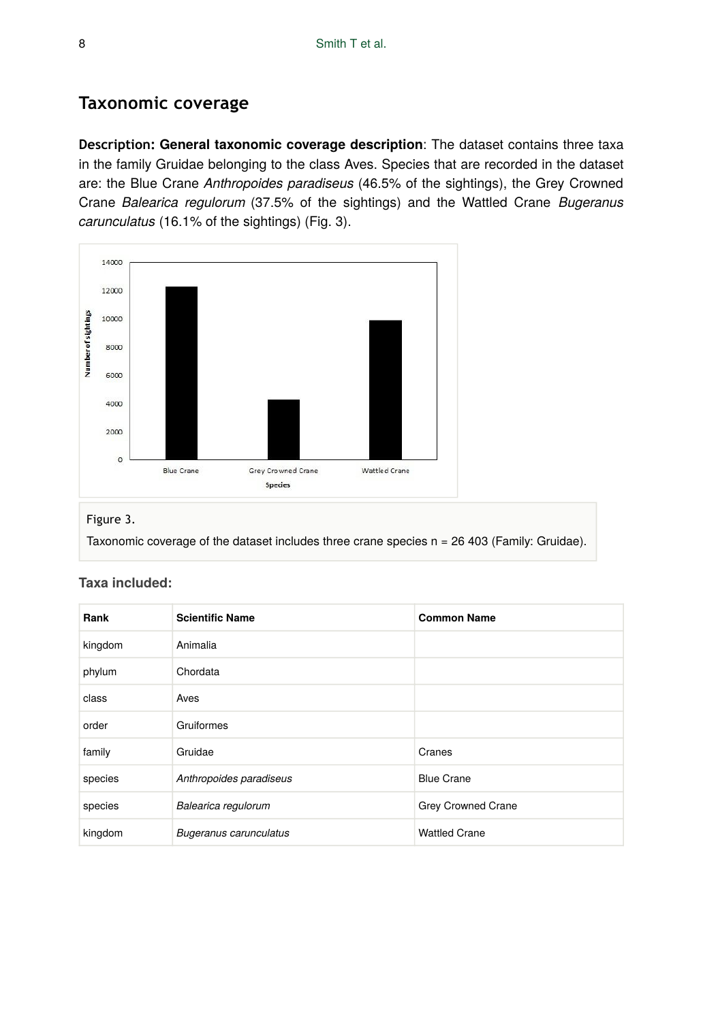# **Taxonomic coverage**

**Description: General taxonomic coverage description**: The dataset contains three taxa in the family Gruidae belonging to the class Aves. Species that are recorded in the dataset are: the Blue Crane *Anthropoides paradiseus* (46.5% of the sightings), the Grey Crowned Crane *Balearica regulorum* (37.5% of the sightings) and the Wattled Crane *Bugeranus carunculatus* (16.1% of the sightings) (Fig. 3).



#### Figure 3.

Taxonomic coverage of the dataset includes three crane species n = 26 403 (Family: Gruidae).

| Rank    | <b>Scientific Name</b>        | <b>Common Name</b>   |
|---------|-------------------------------|----------------------|
| kingdom | Animalia                      |                      |
| phylum  | Chordata                      |                      |
| class   | Aves                          |                      |
| order   | Gruiformes                    |                      |
| family  | Gruidae                       | Cranes               |
| species | Anthropoides paradiseus       | <b>Blue Crane</b>    |
| species | Balearica regulorum           | Grey Crowned Crane   |
| kingdom | <b>Bugeranus carunculatus</b> | <b>Wattled Crane</b> |

#### **Taxa included:**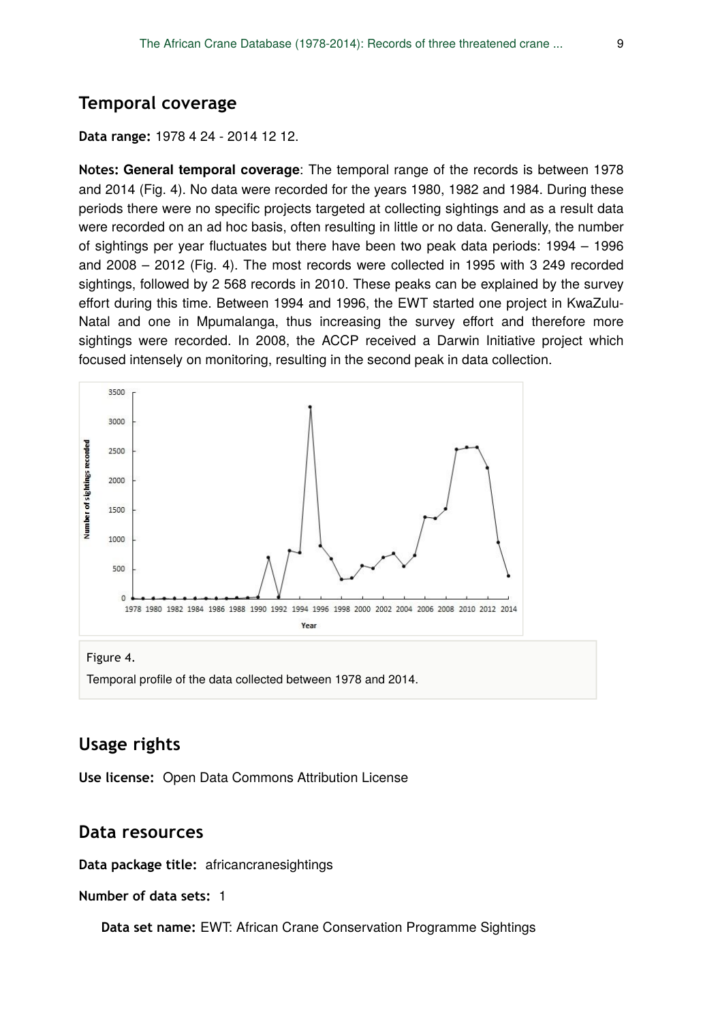#### **Temporal coverage**

#### **Data range:** 1978 4 24 - 2014 12 12.

**Notes: General temporal coverage**: The temporal range of the records is between 1978 and 2014 (Fig. 4). No data were recorded for the years 1980, 1982 and 1984. During these periods there were no specific projects targeted at collecting sightings and as a result data were recorded on an ad hoc basis, often resulting in little or no data. Generally, the number of sightings per year fluctuates but there have been two peak data periods: 1994 – 1996 and 2008 – 2012 (Fig. 4). The most records were collected in 1995 with 3 249 recorded sightings, followed by 2 568 records in 2010. These peaks can be explained by the survey effort during this time. Between 1994 and 1996, the EWT started one project in KwaZulu-Natal and one in Mpumalanga, thus increasing the survey effort and therefore more sightings were recorded. In 2008, the ACCP received a Darwin Initiative project which focused intensely on monitoring, resulting in the second peak in data collection.



Temporal profile of the data collected between 1978 and 2014.

## **Usage rights**

**Use license:** Open Data Commons Attribution License

#### **Data resources**

**Data package title:** africancranesightings

**Number of data sets:** 1

**Data set name: EWT: African Crane Conservation Programme Sightings**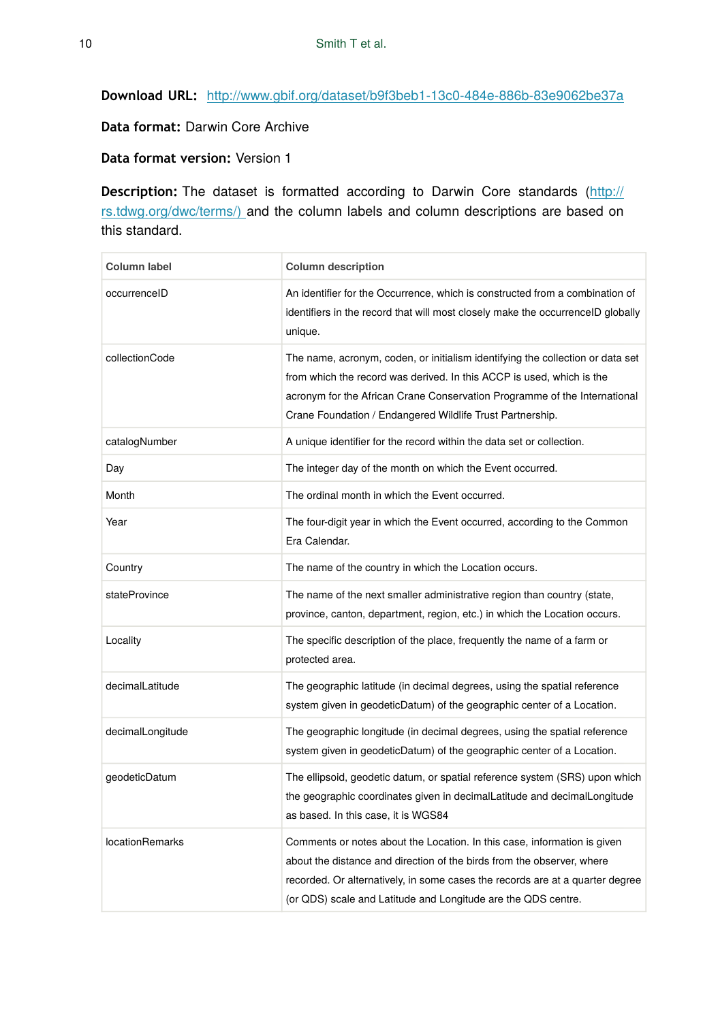**Download URL:** <http://www.gbif.org/dataset/b9f3beb1-13c0-484e-886b-83e9062be37a>

**Data format:** Darwin Core Archive

**Data format version:** Version 1

**Description:** The dataset is formatted according to Darwin Core standards ([http://](http://rs.tdwg.org/dwc/terms/index.htm) [rs.tdwg.org/dwc/terms/\)](http://rs.tdwg.org/dwc/terms/index.htm) and the column labels and column descriptions are based on this standard.

| <b>Column label</b>    | <b>Column description</b>                                                                                                                                                                                                                                                                            |
|------------------------|------------------------------------------------------------------------------------------------------------------------------------------------------------------------------------------------------------------------------------------------------------------------------------------------------|
| occurrenceID           | An identifier for the Occurrence, which is constructed from a combination of<br>identifiers in the record that will most closely make the occurrenceID globally<br>unique.                                                                                                                           |
| collectionCode         | The name, acronym, coden, or initialism identifying the collection or data set<br>from which the record was derived. In this ACCP is used, which is the<br>acronym for the African Crane Conservation Programme of the International<br>Crane Foundation / Endangered Wildlife Trust Partnership.    |
| catalogNumber          | A unique identifier for the record within the data set or collection.                                                                                                                                                                                                                                |
| Day                    | The integer day of the month on which the Event occurred.                                                                                                                                                                                                                                            |
| Month                  | The ordinal month in which the Event occurred.                                                                                                                                                                                                                                                       |
| Year                   | The four-digit year in which the Event occurred, according to the Common<br>Era Calendar.                                                                                                                                                                                                            |
| Country                | The name of the country in which the Location occurs.                                                                                                                                                                                                                                                |
| stateProvince          | The name of the next smaller administrative region than country (state,<br>province, canton, department, region, etc.) in which the Location occurs.                                                                                                                                                 |
| Locality               | The specific description of the place, frequently the name of a farm or<br>protected area.                                                                                                                                                                                                           |
| decimalLatitude        | The geographic latitude (in decimal degrees, using the spatial reference<br>system given in geodeticDatum) of the geographic center of a Location.                                                                                                                                                   |
| decimalLongitude       | The geographic longitude (in decimal degrees, using the spatial reference<br>system given in geodeticDatum) of the geographic center of a Location.                                                                                                                                                  |
| geodeticDatum          | The ellipsoid, geodetic datum, or spatial reference system (SRS) upon which<br>the geographic coordinates given in decimal Latitude and decimal Longitude<br>as based. In this case, it is WGS84                                                                                                     |
| <b>locationRemarks</b> | Comments or notes about the Location. In this case, information is given<br>about the distance and direction of the birds from the observer, where<br>recorded. Or alternatively, in some cases the records are at a quarter degree<br>(or QDS) scale and Latitude and Longitude are the QDS centre. |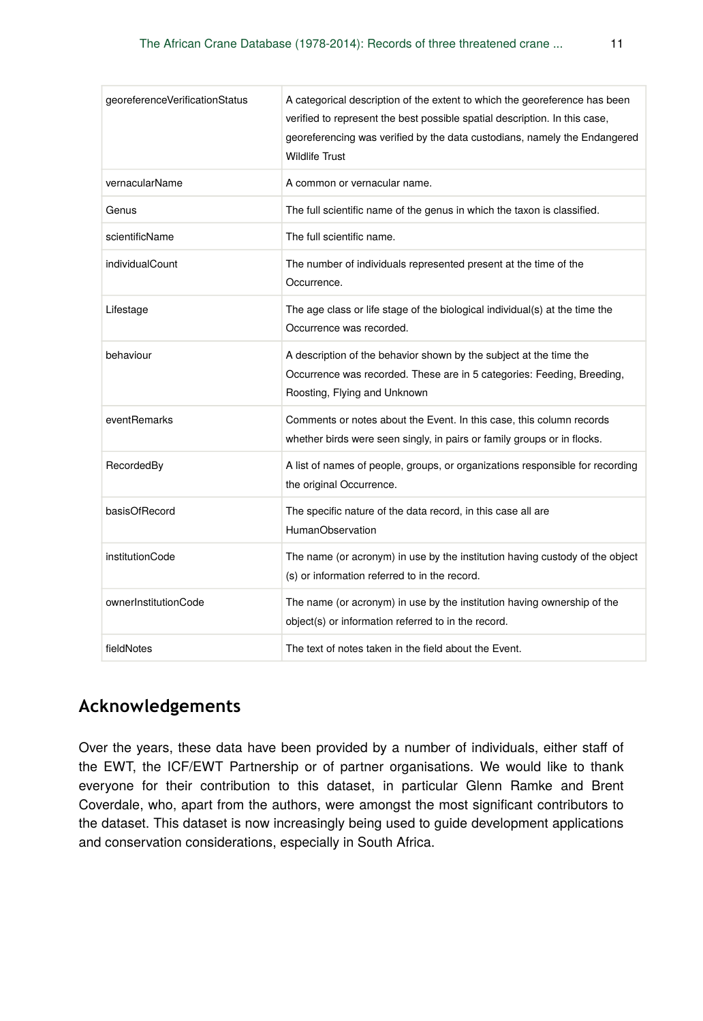| georeferenceVerificationStatus | A categorical description of the extent to which the georeference has been<br>verified to represent the best possible spatial description. In this case,<br>georeferencing was verified by the data custodians, namely the Endangered<br><b>Wildlife Trust</b> |
|--------------------------------|----------------------------------------------------------------------------------------------------------------------------------------------------------------------------------------------------------------------------------------------------------------|
| vernacularName                 | A common or vernacular name.                                                                                                                                                                                                                                   |
| Genus                          | The full scientific name of the genus in which the taxon is classified.                                                                                                                                                                                        |
| scientificName                 | The full scientific name.                                                                                                                                                                                                                                      |
| individualCount                | The number of individuals represented present at the time of the<br>Occurrence.                                                                                                                                                                                |
| Lifestage                      | The age class or life stage of the biological individual(s) at the time the<br>Occurrence was recorded.                                                                                                                                                        |
| behaviour                      | A description of the behavior shown by the subject at the time the<br>Occurrence was recorded. These are in 5 categories: Feeding, Breeding,<br>Roosting, Flying and Unknown                                                                                   |
| eventRemarks                   | Comments or notes about the Event. In this case, this column records<br>whether birds were seen singly, in pairs or family groups or in flocks.                                                                                                                |
| RecordedBy                     | A list of names of people, groups, or organizations responsible for recording<br>the original Occurrence.                                                                                                                                                      |
| basisOfRecord                  | The specific nature of the data record, in this case all are<br><b>HumanObservation</b>                                                                                                                                                                        |
| institutionCode                | The name (or acronym) in use by the institution having custody of the object<br>(s) or information referred to in the record.                                                                                                                                  |
| ownerInstitutionCode           | The name (or acronym) in use by the institution having ownership of the<br>object(s) or information referred to in the record.                                                                                                                                 |
| fieldNotes                     | The text of notes taken in the field about the Event.                                                                                                                                                                                                          |

## **Acknowledgements**

Over the years, these data have been provided by a number of individuals, either staff of the EWT, the ICF/EWT Partnership or of partner organisations. We would like to thank everyone for their contribution to this dataset, in particular Glenn Ramke and Brent Coverdale, who, apart from the authors, were amongst the most significant contributors to the dataset. This dataset is now increasingly being used to guide development applications and conservation considerations, especially in South Africa.